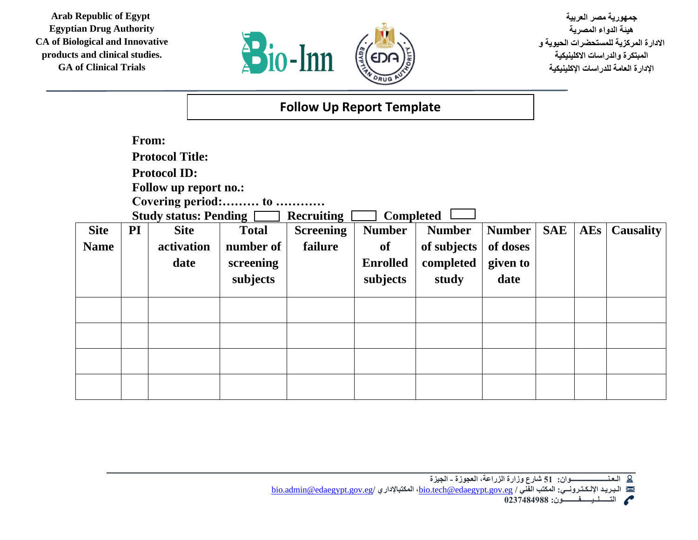**Arab Republic of Egypt Egyptian Drug Authority CA of Biological and Innovative products and clinical studies. GA of Clinical Trials**



**جمهورية مصر العربية هيئة الدواء المصرية االدارة المركزية للمستحضرات الحيوية و المبتكرة والدراسات االكلينيكية اإلدارة العامة للدراسات اإلكلينيكية** 

| <b>Follow Up Report Template</b> |  |
|----------------------------------|--|
|----------------------------------|--|

|                            | From:<br><b>Protocol Title:</b><br><b>Protocol ID:</b><br>Follow up report no.:<br>Covering period: to<br><b>Study status: Pending</b> [<br><b>Completed</b><br><b>Recruiting</b> |                                   |                                                    |                             |                                                    |                                                    |                                               |            |     |                  |
|----------------------------|-----------------------------------------------------------------------------------------------------------------------------------------------------------------------------------|-----------------------------------|----------------------------------------------------|-----------------------------|----------------------------------------------------|----------------------------------------------------|-----------------------------------------------|------------|-----|------------------|
| <b>Site</b><br><b>Name</b> | PI                                                                                                                                                                                | <b>Site</b><br>activation<br>date | <b>Total</b><br>number of<br>screening<br>subjects | <b>Screening</b><br>failure | <b>Number</b><br>of<br><b>Enrolled</b><br>subjects | <b>Number</b><br>of subjects<br>completed<br>study | <b>Number</b><br>of doses<br>given to<br>date | <b>SAE</b> | AEs | <b>Causality</b> |
|                            |                                                                                                                                                                                   |                                   |                                                    |                             |                                                    |                                                    |                                               |            |     |                  |
|                            |                                                                                                                                                                                   |                                   |                                                    |                             |                                                    |                                                    |                                               |            |     |                  |
|                            |                                                                                                                                                                                   |                                   |                                                    |                             |                                                    |                                                    |                                               |            |     |                  |
|                            |                                                                                                                                                                                   |                                   |                                                    |                             |                                                    |                                                    |                                               |            |     |                  |

[bio.admin@edaegypt.gov.eg](mailto:bio.admin@edaegypt.gov.eg)**/ المكتباإلداري ،**[bio.tech@edaegypt.gov.eg](mailto:bio.tech@edaegypt.gov.eg) **/ الفني المكتب :اإللـكـتـرونــي الـبـريـد** 

**الـعـنـــــــــــــــــــــوان: 51 شارع وزارة الزراعة، العجوزة - الجيزة**